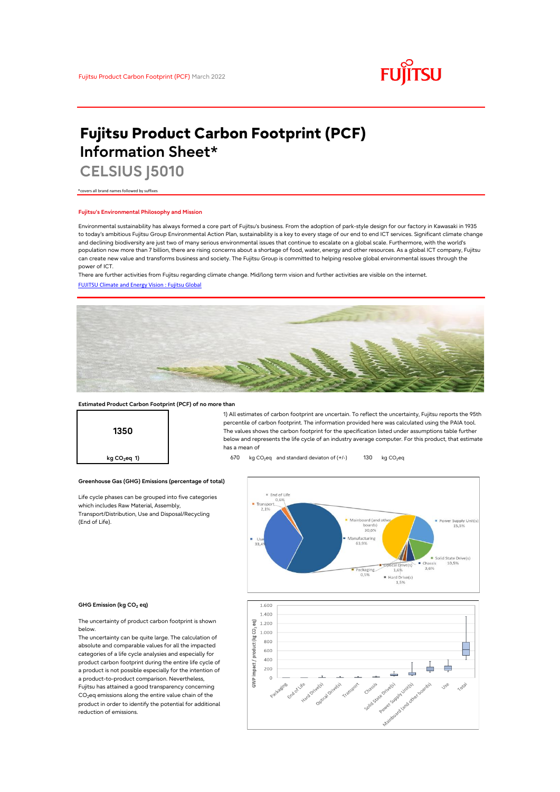

# **Fujitsu Product Carbon Footprint (PCF) Information Sheet\***

**CELSIUS J5010**

\*covers all brand names followed by suffixes

## **Fujitsu's Environmental Philosophy and Mission**

Environmental sustainability has always formed a core part of Fujitsu's business. From the adoption of park-style design for our factory in Kawasaki in 1935 to today's ambitious Fujitsu Group Environmental Action Plan, sustainability is a key to every stage of our end to end ICT services. Significant climate change and declining biodiversity are just two of many serious environmental issues that continue to escalate on a global scale. Furthermore, with the world's population now more than 7 billion, there are rising concerns about a shortage of food, water, energy and other resources. As a global ICT company, Fujitsu can create new value and transforms business and society. The Fujitsu Group is committed to helping resolve global environmental issues through the power of ICT.

[FUJITSU Climate and Energy Vision : Fujitsu Global](https://www.fujitsu.com/global/about/environment/climate-energy-vision/) There are further activities from Fujitsu regarding climate change. Mid/long term vision and further activities are visible on the internet.



### **Estimated Product Carbon Footprint (PCF) of no more than**



1) All estimates of carbon footprint are uncertain. To reflect the uncertainty, Fujitsu reports the 95th percentile of carbon footprint. The information provided here was calculated using the PAIA tool. The values shows the carbon footprint for the specification listed under assumptions table further below and represents the life cycle of an industry average computer. For this product, that estimate has a mean of

**kg CO<sub>2</sub>eq 1) b** 670 kg CO<sub>2</sub>eq and standard deviaton of (+/-) 130 kg CO<sub>2</sub>eq



#### **GHG Emission (kg CO2 eq)**

(End of Life).

The uncertainty of product carbon footprint is shown below.

Life cycle phases can be grouped into five categories

**Greenhouse Gas (GHG) Emissions (percentage of total)**

which includes Raw Material, Assembly, Transport/Distribution, Use and Disposal/Recycling

The uncertainty can be quite large. The calculation of absolute and comparable values for all the impacted categories of a life cycle analysies and especially for product carbon footprint during the entire life cycle of a product is not possible especially for the intention of a product-to-product comparison. Nevertheless, Fujitsu has attained a good transparency concerning CO<sub>2</sub>eq emissions along the entire value chain of the product in order to identify the potential for additional reduction of emissions.